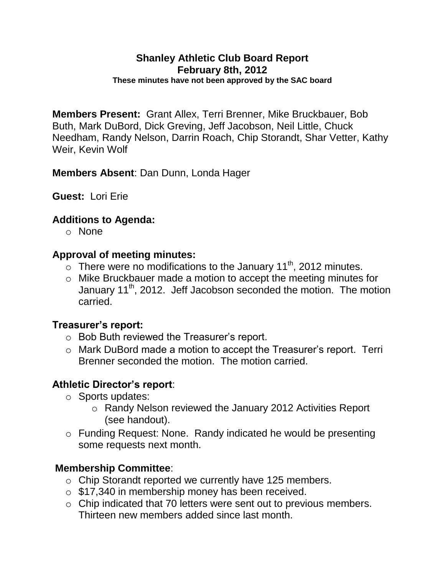#### **Shanley Athletic Club Board Report February 8th, 2012 These minutes have not been approved by the SAC board**

**Members Present:** Grant Allex, Terri Brenner, Mike Bruckbauer, Bob Buth, Mark DuBord, Dick Greving, Jeff Jacobson, Neil Little, Chuck Needham, Randy Nelson, Darrin Roach, Chip Storandt, Shar Vetter, Kathy Weir, Kevin Wolf

**Members Absent**: Dan Dunn, Londa Hager

**Guest:** Lori Erie

### **Additions to Agenda:**

o None

### **Approval of meeting minutes:**

- $\circ$  There were no modifications to the January 11<sup>th</sup>, 2012 minutes.
- o Mike Bruckbauer made a motion to accept the meeting minutes for January 11<sup>th</sup>, 2012. Jeff Jacobson seconded the motion. The motion carried.

### **Treasurer's report:**

- o Bob Buth reviewed the Treasurer's report.
- o Mark DuBord made a motion to accept the Treasurer's report. Terri Brenner seconded the motion. The motion carried.

### **Athletic Director's report**:

- o Sports updates:
	- o Randy Nelson reviewed the January 2012 Activities Report (see handout).
- o Funding Request: None. Randy indicated he would be presenting some requests next month.

### **Membership Committee**:

- o Chip Storandt reported we currently have 125 members.
- o \$17,340 in membership money has been received.
- o Chip indicated that 70 letters were sent out to previous members. Thirteen new members added since last month.